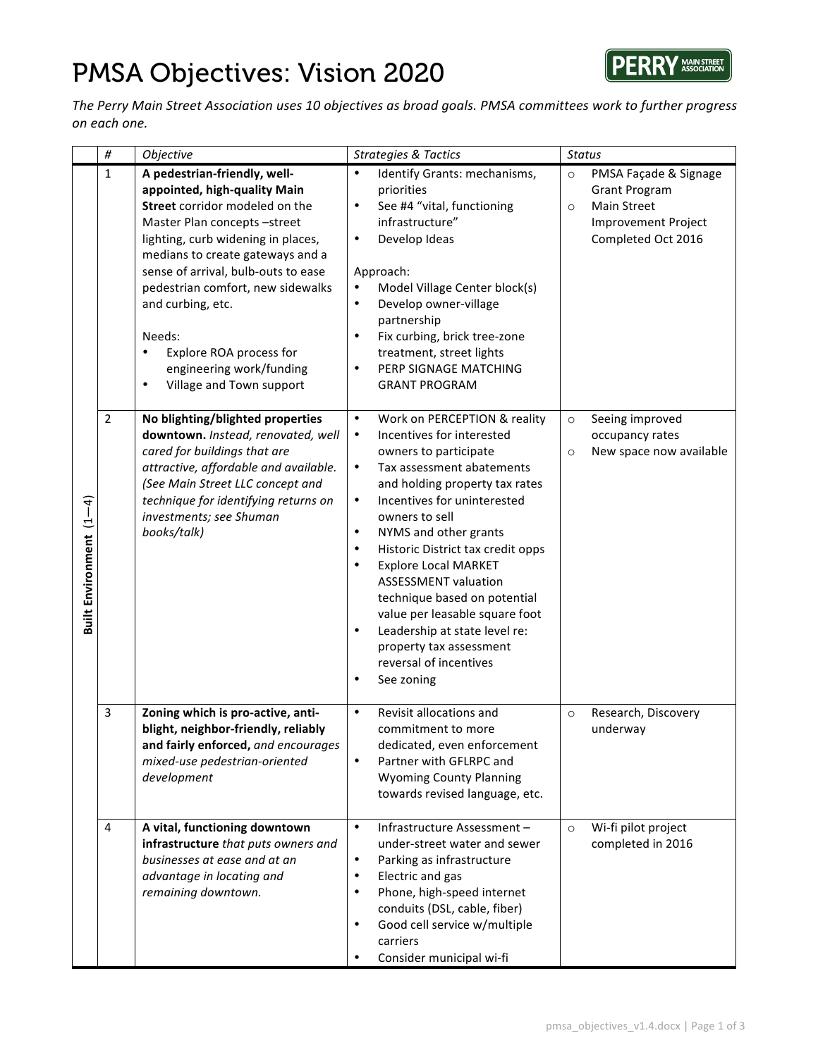## PMSA Objectives: Vision 2020



The Perry Main Street Association uses 10 objectives as broad goals. PMSA committees work to further progress *on each one.*

|                                              | $\#$           | Objective                                                                                                                                                                                                                                                                                                                                                                                                               | <b>Strategies &amp; Tactics</b>                                                                                                                                                                                                                                                                                                                                                                                                                                                                                                                                                                              | <b>Status</b>                                                                                                                          |  |
|----------------------------------------------|----------------|-------------------------------------------------------------------------------------------------------------------------------------------------------------------------------------------------------------------------------------------------------------------------------------------------------------------------------------------------------------------------------------------------------------------------|--------------------------------------------------------------------------------------------------------------------------------------------------------------------------------------------------------------------------------------------------------------------------------------------------------------------------------------------------------------------------------------------------------------------------------------------------------------------------------------------------------------------------------------------------------------------------------------------------------------|----------------------------------------------------------------------------------------------------------------------------------------|--|
| $\widehat{+}$<br><b>Built Environment</b> (1 | 1              | A pedestrian-friendly, well-<br>appointed, high-quality Main<br>Street corridor modeled on the<br>Master Plan concepts-street<br>lighting, curb widening in places,<br>medians to create gateways and a<br>sense of arrival, bulb-outs to ease<br>pedestrian comfort, new sidewalks<br>and curbing, etc.<br>Needs:<br>Explore ROA process for<br>٠<br>engineering work/funding<br>Village and Town support<br>$\bullet$ | Identify Grants: mechanisms,<br>$\bullet$<br>priorities<br>See #4 "vital, functioning<br>$\bullet$<br>infrastructure"<br>Develop Ideas<br>$\bullet$<br>Approach:<br>Model Village Center block(s)<br>Develop owner-village<br>$\bullet$<br>partnership<br>Fix curbing, brick tree-zone<br>$\bullet$<br>treatment, street lights<br>PERP SIGNAGE MATCHING<br>$\bullet$<br><b>GRANT PROGRAM</b>                                                                                                                                                                                                                | PMSA Façade & Signage<br>$\circ$<br><b>Grant Program</b><br><b>Main Street</b><br>$\circ$<br>Improvement Project<br>Completed Oct 2016 |  |
|                                              | $\overline{2}$ | No blighting/blighted properties<br>downtown. Instead, renovated, well<br>cared for buildings that are<br>attractive, affordable and available.<br>(See Main Street LLC concept and<br>technique for identifying returns on<br>investments; see Shuman<br>books/talk)                                                                                                                                                   | Work on PERCEPTION & reality<br>$\bullet$<br>Incentives for interested<br>$\bullet$<br>owners to participate<br>Tax assessment abatements<br>$\bullet$<br>and holding property tax rates<br>$\bullet$<br>Incentives for uninterested<br>owners to sell<br>$\bullet$<br>NYMS and other grants<br>Historic District tax credit opps<br>$\bullet$<br><b>Explore Local MARKET</b><br>$\bullet$<br><b>ASSESSMENT valuation</b><br>technique based on potential<br>value per leasable square foot<br>Leadership at state level re:<br>$\bullet$<br>property tax assessment<br>reversal of incentives<br>See zoning | Seeing improved<br>$\circ$<br>occupancy rates<br>New space now available<br>$\circ$                                                    |  |
|                                              | 3              | Zoning which is pro-active, anti-<br>blight, neighbor-friendly, reliably<br>and fairly enforced, and encourages<br>mixed-use pedestrian-oriented<br>development                                                                                                                                                                                                                                                         | Revisit allocations and<br>$\bullet$<br>commitment to more<br>dedicated, even enforcement<br>Partner with GFLRPC and<br>$\bullet$<br><b>Wyoming County Planning</b><br>towards revised language, etc.                                                                                                                                                                                                                                                                                                                                                                                                        | Research, Discovery<br>$\circ$<br>underway                                                                                             |  |
|                                              | 4              | A vital, functioning downtown<br>infrastructure that puts owners and<br>businesses at ease and at an<br>advantage in locating and<br>remaining downtown.                                                                                                                                                                                                                                                                | $\bullet$<br>Infrastructure Assessment-<br>under-street water and sewer<br>$\bullet$<br>Parking as infrastructure<br>Electric and gas<br>$\bullet$<br>Phone, high-speed internet<br>$\bullet$<br>conduits (DSL, cable, fiber)<br>Good cell service w/multiple<br>carriers<br>Consider municipal wi-fi<br>$\bullet$                                                                                                                                                                                                                                                                                           | Wi-fi pilot project<br>$\circ$<br>completed in 2016                                                                                    |  |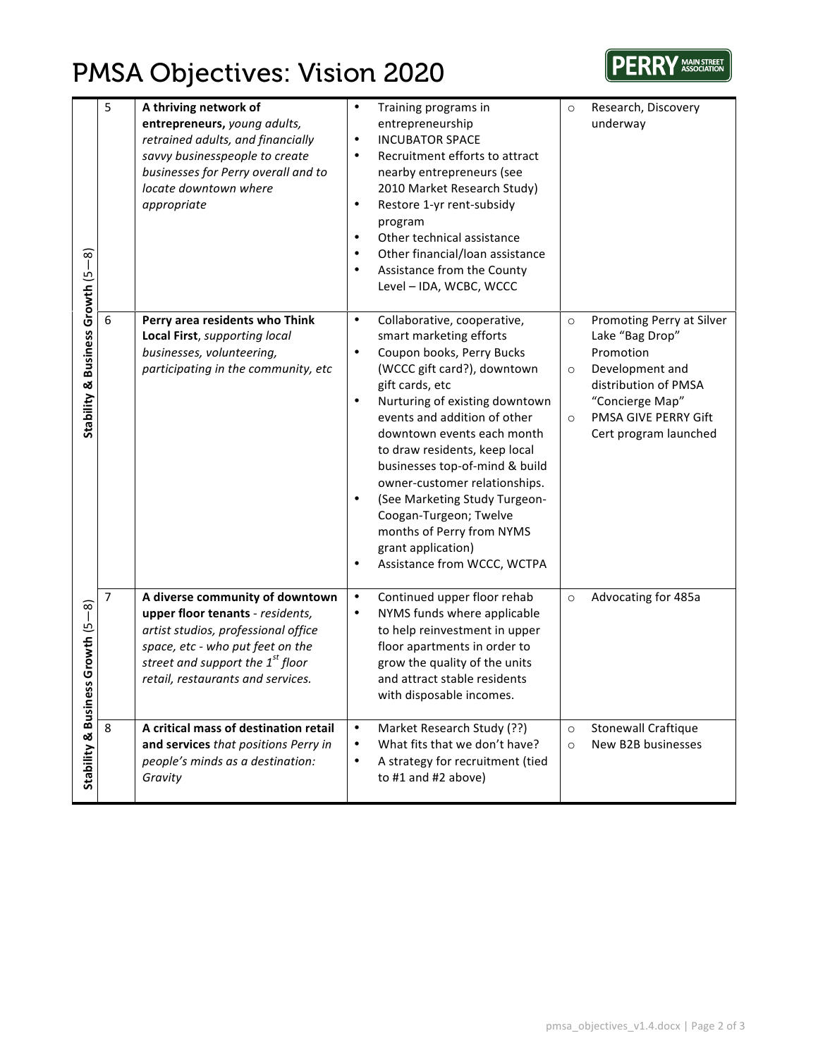## PMSA Objectives: Vision 2020



|                                      | 5                | A thriving network of<br>entrepreneurs, young adults,<br>retrained adults, and financially<br>savvy businesspeople to create<br>businesses for Perry overall and to<br>locate downtown where<br>appropriate                         | $\bullet$<br>$\bullet$<br>$\bullet$<br>$\bullet$<br>$\bullet$<br>$\bullet$<br>$\bullet$ | Training programs in<br>entrepreneurship<br><b>INCUBATOR SPACE</b><br>Recruitment efforts to attract<br>nearby entrepreneurs (see<br>2010 Market Research Study)<br>Restore 1-yr rent-subsidy<br>program<br>Other technical assistance<br>Other financial/loan assistance<br>Assistance from the County<br>Level - IDA, WCBC, WCCC                                                                                                                                                     | $\circ$                       | Research, Discovery<br>underway                                                                                                                                          |
|--------------------------------------|------------------|-------------------------------------------------------------------------------------------------------------------------------------------------------------------------------------------------------------------------------------|-----------------------------------------------------------------------------------------|----------------------------------------------------------------------------------------------------------------------------------------------------------------------------------------------------------------------------------------------------------------------------------------------------------------------------------------------------------------------------------------------------------------------------------------------------------------------------------------|-------------------------------|--------------------------------------------------------------------------------------------------------------------------------------------------------------------------|
| Business Growth (5-8)<br>Stability & | $\boldsymbol{6}$ | Perry area residents who Think<br>Local First, supporting local<br>businesses, volunteering,<br>participating in the community, etc                                                                                                 | $\bullet$<br>$\bullet$<br>$\bullet$<br>$\bullet$<br>$\bullet$                           | Collaborative, cooperative,<br>smart marketing efforts<br>Coupon books, Perry Bucks<br>(WCCC gift card?), downtown<br>gift cards, etc<br>Nurturing of existing downtown<br>events and addition of other<br>downtown events each month<br>to draw residents, keep local<br>businesses top-of-mind & build<br>owner-customer relationships.<br>(See Marketing Study Turgeon-<br>Coogan-Turgeon; Twelve<br>months of Perry from NYMS<br>grant application)<br>Assistance from WCCC, WCTPA | $\circ$<br>$\circ$<br>$\circ$ | Promoting Perry at Silver<br>Lake "Bag Drop"<br>Promotion<br>Development and<br>distribution of PMSA<br>"Concierge Map"<br>PMSA GIVE PERRY Gift<br>Cert program launched |
| $\overline{-8}$<br>Growth (5<br>SS   | $\overline{7}$   | A diverse community of downtown<br>upper floor tenants - residents,<br>artist studios, professional office<br>space, etc - who put feet on the<br>street and support the 1 <sup>st</sup> floor<br>retail, restaurants and services. | $\bullet$<br>$\bullet$                                                                  | Continued upper floor rehab<br>NYMS funds where applicable<br>to help reinvestment in upper<br>floor apartments in order to<br>grow the quality of the units<br>and attract stable residents<br>with disposable incomes.                                                                                                                                                                                                                                                               | $\circ$                       | Advocating for 485a                                                                                                                                                      |
| Stability & Busine                   | 8                | A critical mass of destination retail<br>and services that positions Perry in<br>people's minds as a destination:<br>Gravity                                                                                                        | $\bullet$<br>$\bullet$<br>$\bullet$                                                     | Market Research Study (??)<br>What fits that we don't have?<br>A strategy for recruitment (tied<br>to #1 and #2 above)                                                                                                                                                                                                                                                                                                                                                                 | $\circ$<br>$\circ$            | <b>Stonewall Craftique</b><br>New B2B businesses                                                                                                                         |